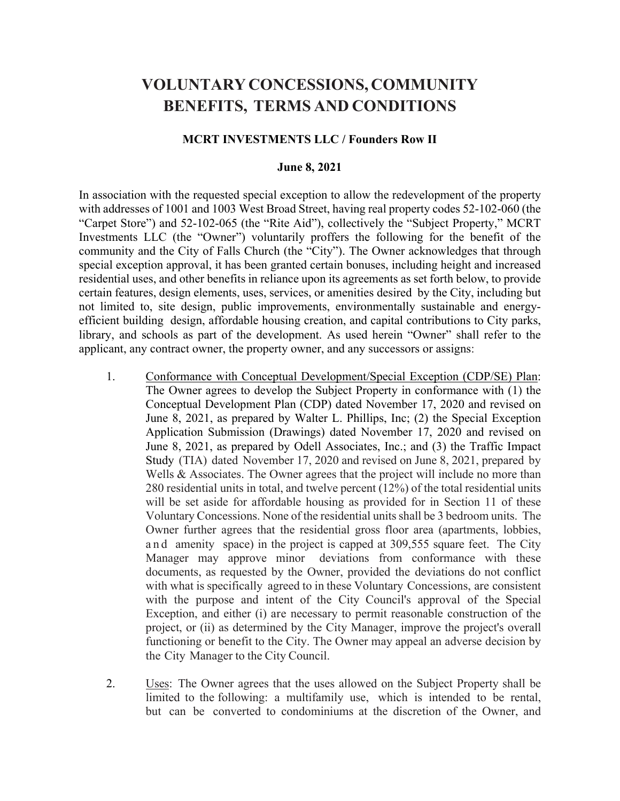# **VOLUNTARY CONCESSIONS, COMMUNITY BENEFITS, TERMS AND CONDITIONS**

#### **MCRT INVESTMENTS LLC / Founders Row II**

#### **June 8, 2021**

In association with the requested special exception to allow the redevelopment of the property with addresses of 1001 and 1003 West Broad Street, having real property codes 52-102-060 (the "Carpet Store") and 52-102-065 (the "Rite Aid"), collectively the "Subject Property," MCRT Investments LLC (the "Owner") voluntarily proffers the following for the benefit of the community and the City of Falls Church (the "City"). The Owner acknowledges that through special exception approval, it has been granted certain bonuses, including height and increased residential uses, and other benefits in reliance upon its agreements as set forth below, to provide certain features, design elements, uses, services, or amenities desired by the City, including but not limited to, site design, public improvements, environmentally sustainable and energyefficient building design, affordable housing creation, and capital contributions to City parks, library, and schools as part of the development. As used herein "Owner" shall refer to the applicant, any contract owner, the property owner, and any successors or assigns:

- 1. Conformance with Conceptual Development/Special Exception (CDP/SE) Plan: The Owner agrees to develop the Subject Property in conformance with (1) the Conceptual Development Plan (CDP) dated November 17, 2020 and revised on June 8, 2021, as prepared by Walter L. Phillips, Inc; (2) the Special Exception Application Submission (Drawings) dated November 17, 2020 and revised on June 8, 2021, as prepared by Odell Associates, Inc.; and (3) the Traffic Impact Study (TIA) dated November 17, 2020 and revised on June 8, 2021, prepared by Wells & Associates. The Owner agrees that the project will include no more than 280 residential units in total, and twelve percent (12%) of the total residential units will be set aside for affordable housing as provided for in Section 11 of these Voluntary Concessions. None of the residential units shall be 3 bedroom units. The Owner further agrees that the residential gross floor area (apartments, lobbies, and amenity space) in the project is capped at 309,555 square feet. The City Manager may approve minor deviations from conformance with these documents, as requested by the Owner, provided the deviations do not conflict with what is specifically agreed to in these Voluntary Concessions, are consistent with the purpose and intent of the City Council's approval of the Special Exception, and either (i) are necessary to permit reasonable construction of the project, or (ii) as determined by the City Manager, improve the project's overall functioning or benefit to the City. The Owner may appeal an adverse decision by the City Manager to the City Council.
- 2. Uses: The Owner agrees that the uses allowed on the Subject Property shall be limited to the following: a multifamily use, which is intended to be rental, but can be converted to condominiums at the discretion of the Owner, and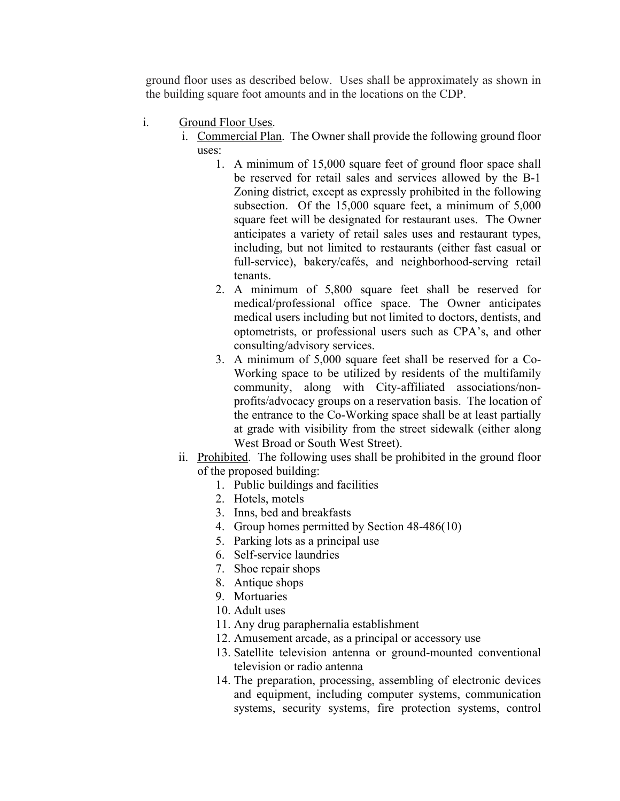ground floor uses as described below. Uses shall be approximately as shown in the building square foot amounts and in the locations on the CDP.

- i. Ground Floor Uses.
	- i. Commercial Plan. The Owner shall provide the following ground floor uses:
		- 1. A minimum of 15,000 square feet of ground floor space shall be reserved for retail sales and services allowed by the B-1 Zoning district, except as expressly prohibited in the following subsection. Of the 15,000 square feet, a minimum of 5,000 square feet will be designated for restaurant uses. The Owner anticipates a variety of retail sales uses and restaurant types, including, but not limited to restaurants (either fast casual or full-service), bakery/cafés, and neighborhood-serving retail tenants.
		- 2. A minimum of 5,800 square feet shall be reserved for medical/professional office space. The Owner anticipates medical users including but not limited to doctors, dentists, and optometrists, or professional users such as CPA's, and other consulting/advisory services.
		- 3. A minimum of 5,000 square feet shall be reserved for a Co-Working space to be utilized by residents of the multifamily community, along with City-affiliated associations/nonprofits/advocacy groups on a reservation basis. The location of the entrance to the Co-Working space shall be at least partially at grade with visibility from the street sidewalk (either along West Broad or South West Street).
	- ii. Prohibited. The following uses shall be prohibited in the ground floor of the proposed building:
		- 1. Public buildings and facilities
		- 2. Hotels, motels
		- 3. Inns, bed and breakfasts
		- 4. Group homes permitted by Section 48-486(10)
		- 5. Parking lots as a principal use
		- 6. Self-service laundries
		- 7. Shoe repair shops
		- 8. Antique shops
		- 9. Mortuaries
		- 10. Adult uses
		- 11. Any drug paraphernalia establishment
		- 12. Amusement arcade, as a principal or accessory use
		- 13. Satellite television antenna or ground-mounted conventional television or radio antenna
		- 14. The preparation, processing, assembling of electronic devices and equipment, including computer systems, communication systems, security systems, fire protection systems, control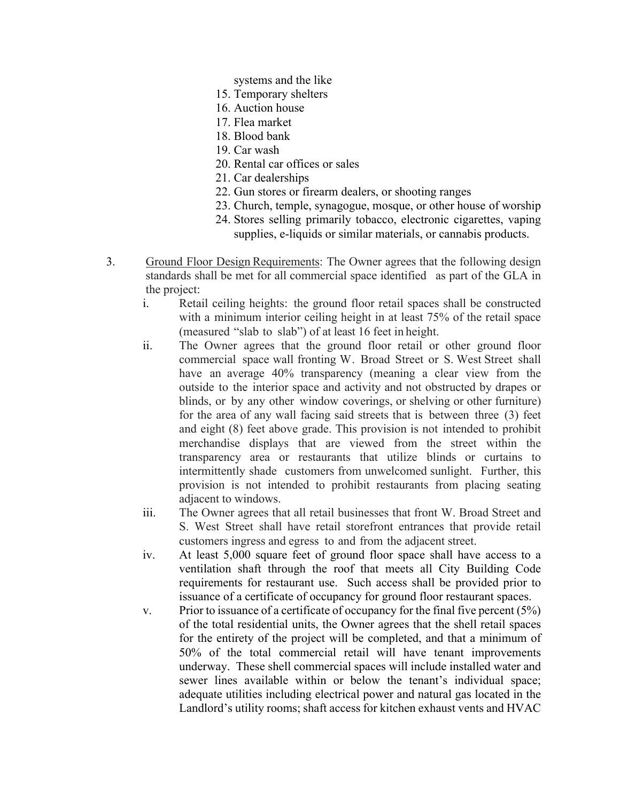- systems and the like
- 15. Temporary shelters
- 16. Auction house
- 17. Flea market
- 18. Blood bank
- 19. Car wash
- 20. Rental car offices or sales
- 21. Car dealerships
- 22. Gun stores or firearm dealers, or shooting ranges
- 23. Church, temple, synagogue, mosque, or other house of worship
- 24. Stores selling primarily tobacco, electronic cigarettes, vaping supplies, e-liquids or similar materials, or cannabis products.
- 3. Ground Floor Design Requirements: The Owner agrees that the following design standards shall be met for all commercial space identified as part of the GLA in the project:
	- i. Retail ceiling heights: the ground floor retail spaces shall be constructed with a minimum interior ceiling height in at least 75% of the retail space (measured "slab to slab") of at least 16 feet in height.
	- ii. The Owner agrees that the ground floor retail or other ground floor commercial space wall fronting W. Broad Street or S. West Street shall have an average 40% transparency (meaning a clear view from the outside to the interior space and activity and not obstructed by drapes or blinds, or by any other window coverings, or shelving or other furniture) for the area of any wall facing said streets that is between three (3) feet and eight (8) feet above grade. This provision is not intended to prohibit merchandise displays that are viewed from the street within the transparency area or restaurants that utilize blinds or curtains to intermittently shade customers from unwelcomed sunlight. Further, this provision is not intended to prohibit restaurants from placing seating adjacent to windows.
	- iii. The Owner agrees that all retail businesses that front W. Broad Street and S. West Street shall have retail storefront entrances that provide retail customers ingress and egress to and from the adjacent street.
	- iv. At least 5,000 square feet of ground floor space shall have access to a ventilation shaft through the roof that meets all City Building Code requirements for restaurant use. Such access shall be provided prior to issuance of a certificate of occupancy for ground floor restaurant spaces.
	- v. Prior to issuance of a certificate of occupancy for the final five percent  $(5%)$ of the total residential units, the Owner agrees that the shell retail spaces for the entirety of the project will be completed, and that a minimum of 50% of the total commercial retail will have tenant improvements underway. These shell commercial spaces will include installed water and sewer lines available within or below the tenant's individual space; adequate utilities including electrical power and natural gas located in the Landlord's utility rooms; shaft access for kitchen exhaust vents and HVAC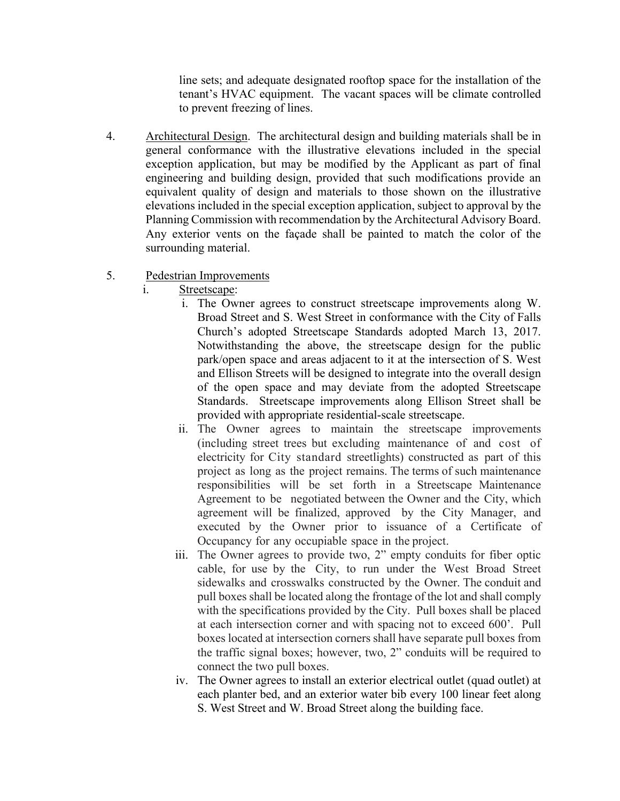line sets; and adequate designated rooftop space for the installation of the tenant's HVAC equipment. The vacant spaces will be climate controlled to prevent freezing of lines.

4. Architectural Design. The architectural design and building materials shall be in general conformance with the illustrative elevations included in the special exception application, but may be modified by the Applicant as part of final engineering and building design, provided that such modifications provide an equivalent quality of design and materials to those shown on the illustrative elevations included in the special exception application, subject to approval by the Planning Commission with recommendation by the Architectural Advisory Board. Any exterior vents on the façade shall be painted to match the color of the surrounding material.

### 5. Pedestrian Improvements

- i. Streetscape:
	- i. The Owner agrees to construct streetscape improvements along W. Broad Street and S. West Street in conformance with the City of Falls Church's adopted Streetscape Standards adopted March 13, 2017. Notwithstanding the above, the streetscape design for the public park/open space and areas adjacent to it at the intersection of S. West and Ellison Streets will be designed to integrate into the overall design of the open space and may deviate from the adopted Streetscape Standards. Streetscape improvements along Ellison Street shall be provided with appropriate residential-scale streetscape.
	- ii. The Owner agrees to maintain the streetscape improvements (including street trees but excluding maintenance of and cost of electricity for City standard streetlights) constructed as part of this project as long as the project remains. The terms of such maintenance responsibilities will be set forth in a Streetscape Maintenance Agreement to be negotiated between the Owner and the City, which agreement will be finalized, approved by the City Manager, and executed by the Owner prior to issuance of a Certificate of Occupancy for any occupiable space in the project.
	- iii. The Owner agrees to provide two, 2" empty conduits for fiber optic cable, for use by the City, to run under the West Broad Street sidewalks and crosswalks constructed by the Owner. The conduit and pull boxes shall be located along the frontage of the lot and shall comply with the specifications provided by the City. Pull boxes shall be placed at each intersection corner and with spacing not to exceed 600'. Pull boxes located at intersection corners shall have separate pull boxes from the traffic signal boxes; however, two, 2" conduits will be required to connect the two pull boxes.
	- iv. The Owner agrees to install an exterior electrical outlet (quad outlet) at each planter bed, and an exterior water bib every 100 linear feet along S. West Street and W. Broad Street along the building face.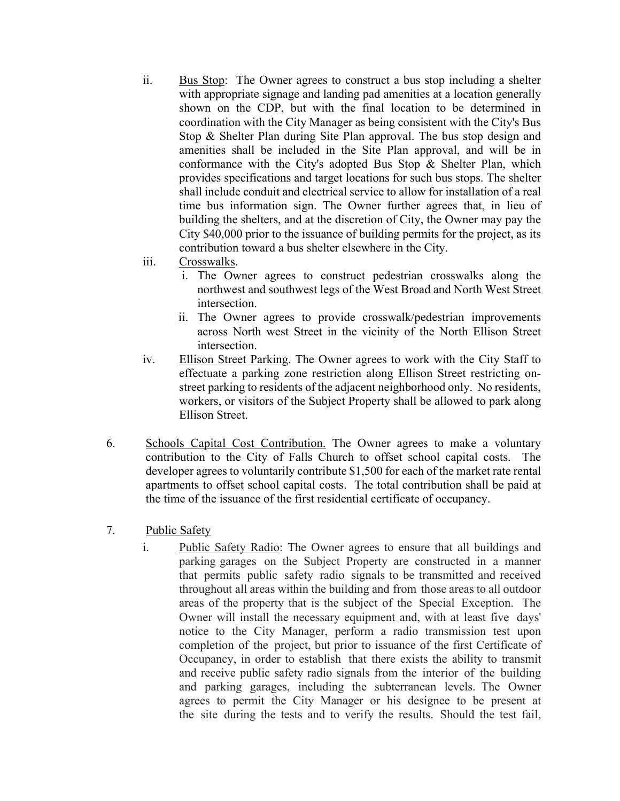- ii. Bus Stop: The Owner agrees to construct a bus stop including a shelter with appropriate signage and landing pad amenities at a location generally shown on the CDP, but with the final location to be determined in coordination with the City Manager as being consistent with the City's Bus Stop & Shelter Plan during Site Plan approval. The bus stop design and amenities shall be included in the Site Plan approval, and will be in conformance with the City's adopted Bus Stop & Shelter Plan, which provides specifications and target locations for such bus stops. The shelter shall include conduit and electrical service to allow for installation of a real time bus information sign. The Owner further agrees that, in lieu of building the shelters, and at the discretion of City, the Owner may pay the City \$40,000 prior to the issuance of building permits for the project, as its contribution toward a bus shelter elsewhere in the City.
- iii. Crosswalks.
	- i. The Owner agrees to construct pedestrian crosswalks along the northwest and southwest legs of the West Broad and North West Street intersection.
	- ii. The Owner agrees to provide crosswalk/pedestrian improvements across North west Street in the vicinity of the North Ellison Street intersection.
- iv. Ellison Street Parking. The Owner agrees to work with the City Staff to effectuate a parking zone restriction along Ellison Street restricting onstreet parking to residents of the adjacent neighborhood only. No residents, workers, or visitors of the Subject Property shall be allowed to park along Ellison Street.
- 6. Schools Capital Cost Contribution. The Owner agrees to make a voluntary contribution to the City of Falls Church to offset school capital costs. The developer agrees to voluntarily contribute \$1,500 for each of the market rate rental apartments to offset school capital costs. The total contribution shall be paid at the time of the issuance of the first residential certificate of occupancy.
- 7. Public Safety
	- i. Public Safety Radio: The Owner agrees to ensure that all buildings and parking garages on the Subject Property are constructed in a manner that permits public safety radio signals to be transmitted and received throughout all areas within the building and from those areas to all outdoor areas of the property that is the subject of the Special Exception. The Owner will install the necessary equipment and, with at least five days' notice to the City Manager, perform a radio transmission test upon completion of the project, but prior to issuance of the first Certificate of Occupancy, in order to establish that there exists the ability to transmit and receive public safety radio signals from the interior of the building and parking garages, including the subterranean levels. The Owner agrees to permit the City Manager or his designee to be present at the site during the tests and to verify the results. Should the test fail,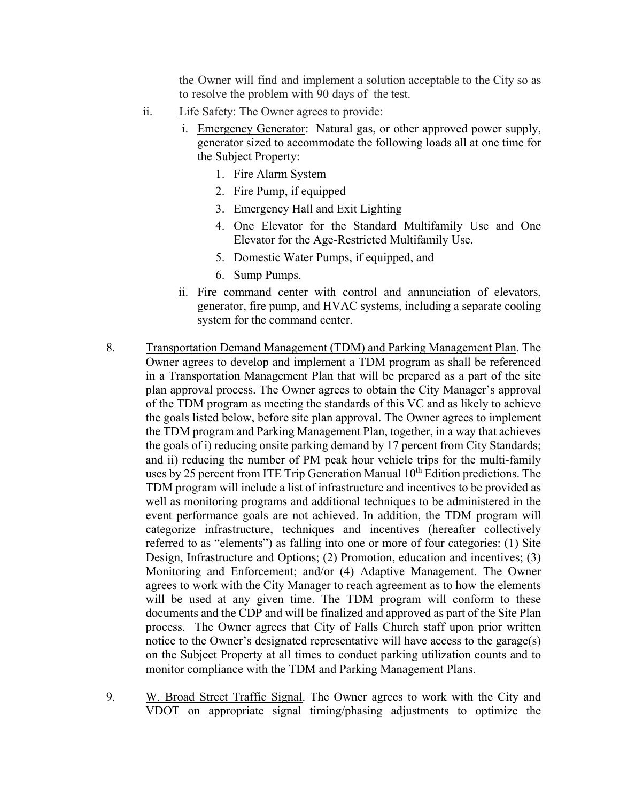the Owner will find and implement a solution acceptable to the City so as to resolve the problem with 90 days of the test.

- ii. Life Safety: The Owner agrees to provide:
	- i. Emergency Generator: Natural gas, or other approved power supply, generator sized to accommodate the following loads all at one time for the Subject Property:
		- 1. Fire Alarm System
		- 2. Fire Pump, if equipped
		- 3. Emergency Hall and Exit Lighting
		- 4. One Elevator for the Standard Multifamily Use and One Elevator for the Age-Restricted Multifamily Use.
		- 5. Domestic Water Pumps, if equipped, and
		- 6. Sump Pumps.
	- ii. Fire command center with control and annunciation of elevators, generator, fire pump, and HVAC systems, including a separate cooling system for the command center.
- 8. Transportation Demand Management (TDM) and Parking Management Plan. The Owner agrees to develop and implement a TDM program as shall be referenced in a Transportation Management Plan that will be prepared as a part of the site plan approval process. The Owner agrees to obtain the City Manager's approval of the TDM program as meeting the standards of this VC and as likely to achieve the goals listed below, before site plan approval. The Owner agrees to implement the TDM program and Parking Management Plan, together, in a way that achieves the goals of i) reducing onsite parking demand by 17 percent from City Standards; and ii) reducing the number of PM peak hour vehicle trips for the multi-family uses by 25 percent from ITE Trip Generation Manual  $10<sup>th</sup>$  Edition predictions. The TDM program will include a list of infrastructure and incentives to be provided as well as monitoring programs and additional techniques to be administered in the event performance goals are not achieved. In addition, the TDM program will categorize infrastructure, techniques and incentives (hereafter collectively referred to as "elements") as falling into one or more of four categories: (1) Site Design, Infrastructure and Options; (2) Promotion, education and incentives; (3) Monitoring and Enforcement; and/or (4) Adaptive Management. The Owner agrees to work with the City Manager to reach agreement as to how the elements will be used at any given time. The TDM program will conform to these documents and the CDP and will be finalized and approved as part of the Site Plan process. The Owner agrees that City of Falls Church staff upon prior written notice to the Owner's designated representative will have access to the garage(s) on the Subject Property at all times to conduct parking utilization counts and to monitor compliance with the TDM and Parking Management Plans.
- 9. W. Broad Street Traffic Signal. The Owner agrees to work with the City and VDOT on appropriate signal timing/phasing adjustments to optimize the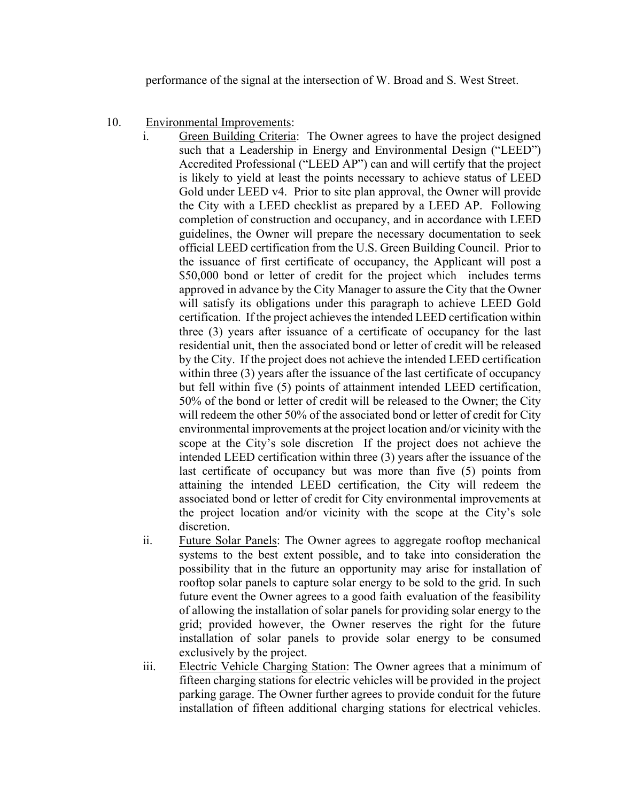performance of the signal at the intersection of W. Broad and S. West Street.

- 10. Environmental Improvements:
	- i. Green Building Criteria: The Owner agrees to have the project designed such that a Leadership in Energy and Environmental Design ("LEED") Accredited Professional ("LEED AP") can and will certify that the project is likely to yield at least the points necessary to achieve status of LEED Gold under LEED v4. Prior to site plan approval, the Owner will provide the City with a LEED checklist as prepared by a LEED AP. Following completion of construction and occupancy, and in accordance with LEED guidelines, the Owner will prepare the necessary documentation to seek official LEED certification from the U.S. Green Building Council. Prior to the issuance of first certificate of occupancy, the Applicant will post a \$50,000 bond or letter of credit for the project which includes terms approved in advance by the City Manager to assure the City that the Owner will satisfy its obligations under this paragraph to achieve LEED Gold certification. If the project achieves the intended LEED certification within three (3) years after issuance of a certificate of occupancy for the last residential unit, then the associated bond or letter of credit will be released by the City. If the project does not achieve the intended LEED certification within three (3) years after the issuance of the last certificate of occupancy but fell within five (5) points of attainment intended LEED certification, 50% of the bond or letter of credit will be released to the Owner; the City will redeem the other 50% of the associated bond or letter of credit for City environmental improvements at the project location and/or vicinity with the scope at the City's sole discretion If the project does not achieve the intended LEED certification within three (3) years after the issuance of the last certificate of occupancy but was more than five (5) points from attaining the intended LEED certification, the City will redeem the associated bond or letter of credit for City environmental improvements at the project location and/or vicinity with the scope at the City's sole discretion.
	- ii. Future Solar Panels: The Owner agrees to aggregate rooftop mechanical systems to the best extent possible, and to take into consideration the possibility that in the future an opportunity may arise for installation of rooftop solar panels to capture solar energy to be sold to the grid. In such future event the Owner agrees to a good faith evaluation of the feasibility of allowing the installation of solar panels for providing solar energy to the grid; provided however, the Owner reserves the right for the future installation of solar panels to provide solar energy to be consumed exclusively by the project.
	- iii. Electric Vehicle Charging Station: The Owner agrees that a minimum of fifteen charging stations for electric vehicles will be provided in the project parking garage. The Owner further agrees to provide conduit for the future installation of fifteen additional charging stations for electrical vehicles.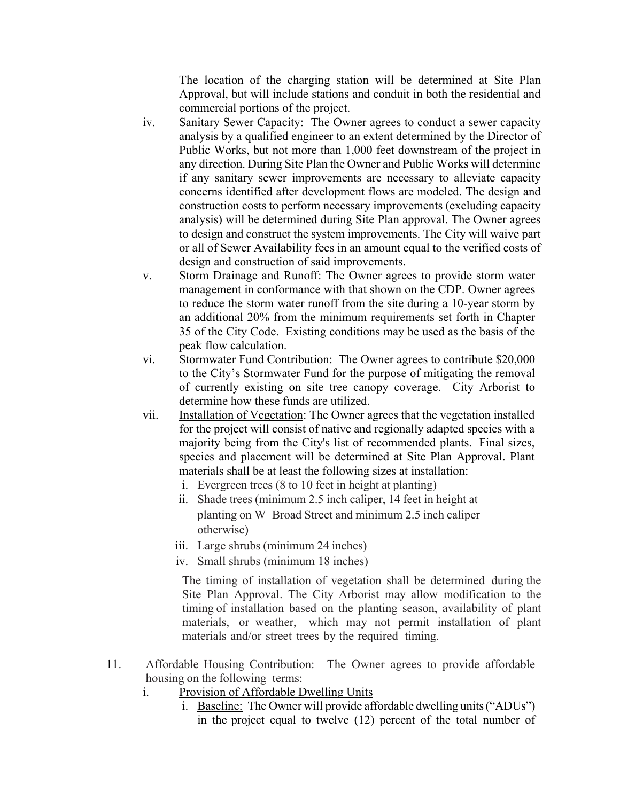The location of the charging station will be determined at Site Plan Approval, but will include stations and conduit in both the residential and commercial portions of the project.

- iv. Sanitary Sewer Capacity: The Owner agrees to conduct a sewer capacity analysis by a qualified engineer to an extent determined by the Director of Public Works, but not more than 1,000 feet downstream of the project in any direction. During Site Plan the Owner and Public Works will determine if any sanitary sewer improvements are necessary to alleviate capacity concerns identified after development flows are modeled. The design and construction costs to perform necessary improvements (excluding capacity analysis) will be determined during Site Plan approval. The Owner agrees to design and construct the system improvements. The City will waive part or all of Sewer Availability fees in an amount equal to the verified costs of design and construction of said improvements.
- v. Storm Drainage and Runoff: The Owner agrees to provide storm water management in conformance with that shown on the CDP. Owner agrees to reduce the storm water runoff from the site during a 10-year storm by an additional 20% from the minimum requirements set forth in Chapter 35 of the City Code. Existing conditions may be used as the basis of the peak flow calculation.
- vi. Stormwater Fund Contribution: The Owner agrees to contribute \$20,000 to the City's Stormwater Fund for the purpose of mitigating the removal of currently existing on site tree canopy coverage. City Arborist to determine how these funds are utilized.
- vii. Installation of Vegetation: The Owner agrees that the vegetation installed for the project will consist of native and regionally adapted species with a majority being from the City's list of recommended plants. Final sizes, species and placement will be determined at Site Plan Approval. Plant materials shall be at least the following sizes at installation:
	- i. Evergreen trees (8 to 10 feet in height at planting)
	- ii. Shade trees (minimum 2.5 inch caliper, 14 feet in height at planting on W Broad Street and minimum 2.5 inch caliper otherwise)
	- iii. Large shrubs (minimum 24 inches)
	- iv. Small shrubs (minimum 18 inches)

The timing of installation of vegetation shall be determined during the Site Plan Approval. The City Arborist may allow modification to the timing of installation based on the planting season, availability of plant materials, or weather, which may not permit installation of plant materials and/or street trees by the required timing.

- 11. Affordable Housing Contribution: The Owner agrees to provide affordable housing on the following terms:
	- i. Provision of Affordable Dwelling Units
		- i. Baseline:The Owner will provide affordable dwelling units ("ADUs") in the project equal to twelve (12) percent of the total number of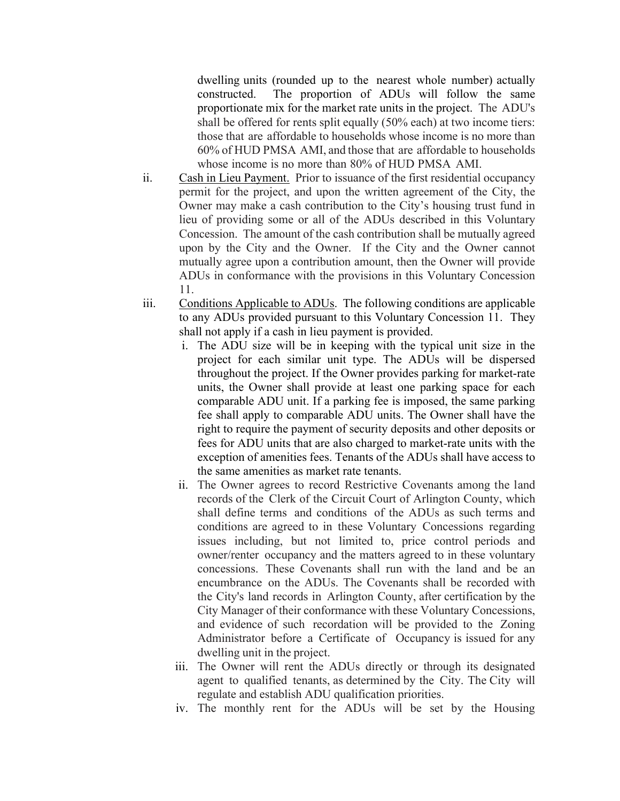dwelling units (rounded up to the nearest whole number) actually constructed. The proportion of ADUs will follow the same proportionate mix for the market rate units in the project. The ADU's shall be offered for rents split equally (50% each) at two income tiers: those that are affordable to households whose income is no more than 60% of HUD PMSA AMI, and those that are affordable to households whose income is no more than 80% of HUD PMSA AMI.

- ii. Cash in Lieu Payment. Prior to issuance of the first residential occupancy permit for the project, and upon the written agreement of the City, the Owner may make a cash contribution to the City's housing trust fund in lieu of providing some or all of the ADUs described in this Voluntary Concession. The amount of the cash contribution shall be mutually agreed upon by the City and the Owner. If the City and the Owner cannot mutually agree upon a contribution amount, then the Owner will provide ADUs in conformance with the provisions in this Voluntary Concession 11.
- iii. Conditions Applicable to ADUs. The following conditions are applicable to any ADUs provided pursuant to this Voluntary Concession 11. They shall not apply if a cash in lieu payment is provided.
	- i. The ADU size will be in keeping with the typical unit size in the project for each similar unit type. The ADUs will be dispersed throughout the project. If the Owner provides parking for market-rate units, the Owner shall provide at least one parking space for each comparable ADU unit. If a parking fee is imposed, the same parking fee shall apply to comparable ADU units. The Owner shall have the right to require the payment of security deposits and other deposits or fees for ADU units that are also charged to market-rate units with the exception of amenities fees. Tenants of the ADUs shall have access to the same amenities as market rate tenants.
	- ii. The Owner agrees to record Restrictive Covenants among the land records of the Clerk of the Circuit Court of Arlington County, which shall define terms and conditions of the ADUs as such terms and conditions are agreed to in these Voluntary Concessions regarding issues including, but not limited to, price control periods and owner/renter occupancy and the matters agreed to in these voluntary concessions. These Covenants shall run with the land and be an encumbrance on the ADUs. The Covenants shall be recorded with the City's land records in Arlington County, after certification by the City Manager of their conformance with these Voluntary Concessions, and evidence of such recordation will be provided to the Zoning Administrator before a Certificate of Occupancy is issued for any dwelling unit in the project.
	- iii. The Owner will rent the ADUs directly or through its designated agent to qualified tenants, as determined by the City. The City will regulate and establish ADU qualification priorities.
	- iv. The monthly rent for the ADUs will be set by the Housing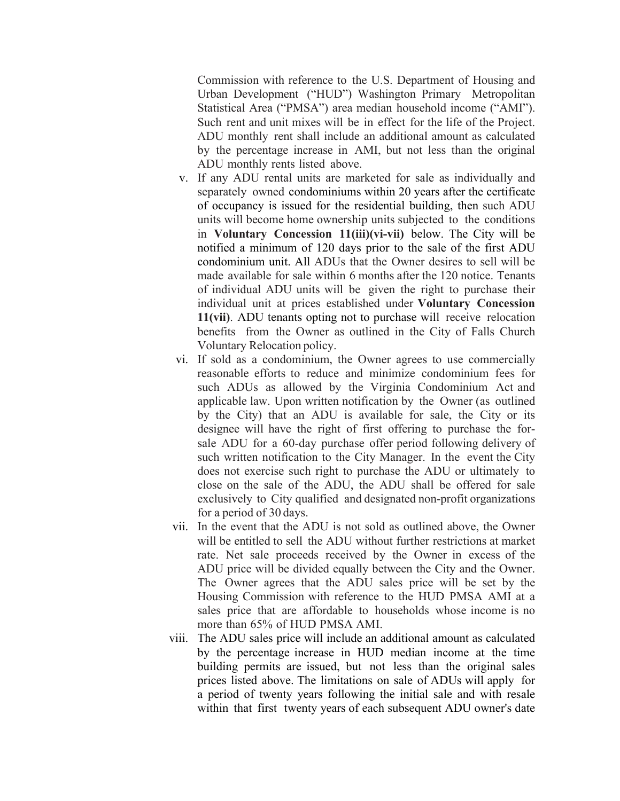Commission with reference to the U.S. Department of Housing and Urban Development ("HUD") Washington Primary Metropolitan Statistical Area ("PMSA") area median household income ("AMI"). Such rent and unit mixes will be in effect for the life of the Project. ADU monthly rent shall include an additional amount as calculated by the percentage increase in AMI, but not less than the original ADU monthly rents listed above.

- v. If any ADU rental units are marketed for sale as individually and separately owned condominiums within 20 years after the certificate of occupancy is issued for the residential building, then such ADU units will become home ownership units subjected to the conditions in **Voluntary Concession 11(iii)(vi-vii)** below. The City will be notified a minimum of 120 days prior to the sale of the first ADU condominium unit. All ADUs that the Owner desires to sell will be made available for sale within 6 months after the 120 notice. Tenants of individual ADU units will be given the right to purchase their individual unit at prices established under **Voluntary Concession 11(vii)**. ADU tenants opting not to purchase will receive relocation benefits from the Owner as outlined in the City of Falls Church Voluntary Relocation policy.
- vi. If sold as a condominium, the Owner agrees to use commercially reasonable efforts to reduce and minimize condominium fees for such ADUs as allowed by the Virginia Condominium Act and applicable law. Upon written notification by the Owner (as outlined by the City) that an ADU is available for sale, the City or its designee will have the right of first offering to purchase the forsale ADU for a 60-day purchase offer period following delivery of such written notification to the City Manager. In the event the City does not exercise such right to purchase the ADU or ultimately to close on the sale of the ADU, the ADU shall be offered for sale exclusively to City qualified and designated non-profit organizations for a period of 30 days.
- vii. In the event that the ADU is not sold as outlined above, the Owner will be entitled to sell the ADU without further restrictions at market rate. Net sale proceeds received by the Owner in excess of the ADU price will be divided equally between the City and the Owner. The Owner agrees that the ADU sales price will be set by the Housing Commission with reference to the HUD PMSA AMI at a sales price that are affordable to households whose income is no more than 65% of HUD PMSA AMI.
- viii. The ADU sales price will include an additional amount as calculated by the percentage increase in HUD median income at the time building permits are issued, but not less than the original sales prices listed above. The limitations on sale of ADUs will apply for a period of twenty years following the initial sale and with resale within that first twenty years of each subsequent ADU owner's date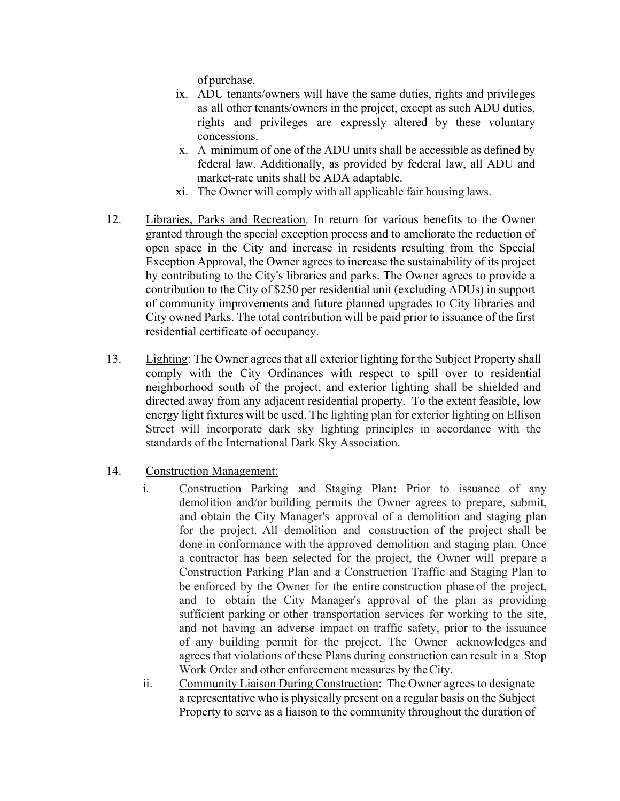of purchase.

- ix. ADU tenants/owners will have the same duties, rights and privileges as all other tenants/owners in the project, except as such ADU duties, rights and privileges are expressly altered by these voluntary concessions.
- x. A minimum of one of the ADU units shall be accessible as defined by federal law. Additionally, as provided by federal law, all ADU and market-rate units shall be ADA adaptable.
- xi. The Owner will comply with all applicable fair housing laws.
- 12. Libraries, Parks and Recreation. In return for various benefits to the Owner granted through the special exception process and to ameliorate the reduction of open space in the City and increase in residents resulting from the Special Exception Approval, the Owner agrees to increase the sustainability of its project by contributing to the City's libraries and parks. The Owner agrees to provide a contribution to the City of \$250 per residential unit (excluding ADUs) in support of community improvements and future planned upgrades to City libraries and City owned Parks. The total contribution will be paid prior to issuance of the first residential certificate of occupancy.
- 13. Lighting: The Owner agrees that all exterior lighting for the Subject Property shall comply with the City Ordinances with respect to spill over to residential neighborhood south of the project, and exterior lighting shall be shielded and directed away from any adjacent residential property. To the extent feasible, low energy light fixtures will be used. The lighting plan for exterior lighting on Ellison Street will incorporate dark sky lighting principles in accordance with the standards of the International Dark Sky Association.
- 14. Construction Management:
	- i. Construction Parking and Staging Plan**:** Prior to issuance of any demolition and/or building permits the Owner agrees to prepare, submit, and obtain the City Manager's approval of a demolition and staging plan for the project. All demolition and construction of the project shall be done in conformance with the approved demolition and staging plan. Once a contractor has been selected for the project, the Owner will prepare a Construction Parking Plan and a Construction Traffic and Staging Plan to be enforced by the Owner for the entire construction phase of the project, and to obtain the City Manager's approval of the plan as providing sufficient parking or other transportation services for working to the site, and not having an adverse impact on traffic safety, prior to the issuance of any building permit for the project. The Owner acknowledges and agrees that violations of these Plans during construction can result in a Stop Work Order and other enforcement measures by the City.
	- ii. Community Liaison During Construction: The Owner agrees to designate a representative who is physically present on a regular basis on the Subject Property to serve as a liaison to the community throughout the duration of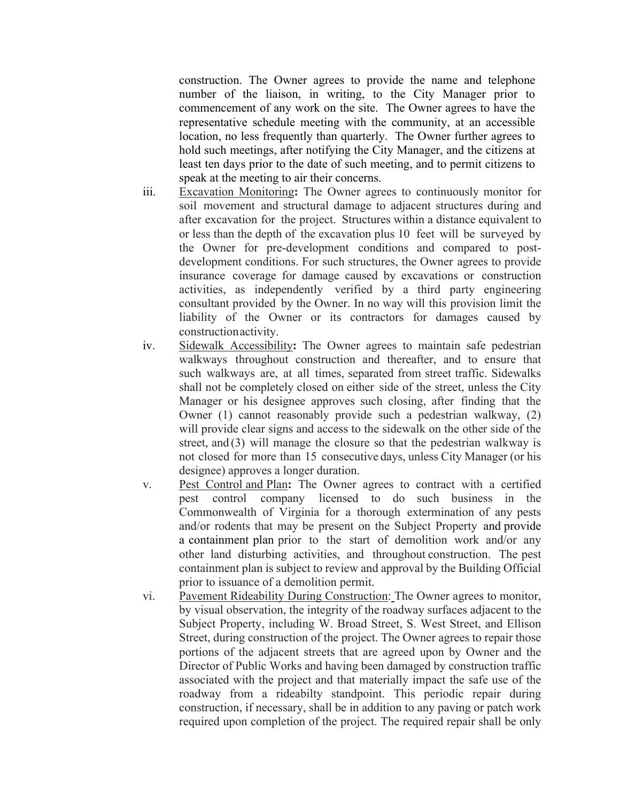construction. The Owner agrees to provide the name and telephone number of the liaison, in writing, to the City Manager prior to commencement of any work on the site. The Owner agrees to have the representative schedule meeting with the community, at an accessible location, no less frequently than quarterly. The Owner further agrees to hold such meetings, after notifying the City Manager, and the citizens at least ten days prior to the date of such meeting, and to permit citizens to speak at the meeting to air their concerns.

- iii. Excavation Monitoring**:** The Owner agrees to continuously monitor for soil movement and structural damage to adjacent structures during and after excavation for the project. Structures within a distance equivalent to or less than the depth of the excavation plus 10 feet will be surveyed by the Owner for pre-development conditions and compared to postdevelopment conditions. For such structures, the Owner agrees to provide insurance coverage for damage caused by excavations or construction activities, as independently verified by a third party engineering consultant provided by the Owner. In no way will this provision limit the liability of the Owner or its contractors for damages caused by construction activity.
- iv. Sidewalk Accessibility**:** The Owner agrees to maintain safe pedestrian walkways throughout construction and thereafter, and to ensure that such walkways are, at all times, separated from street traffic. Sidewalks shall not be completely closed on either side of the street, unless the City Manager or his designee approves such closing, after finding that the Owner (1) cannot reasonably provide such a pedestrian walkway, (2) will provide clear signs and access to the sidewalk on the other side of the street, and (3) will manage the closure so that the pedestrian walkway is not closed for more than 15 consecutive days, unless City Manager (or his designee) approves a longer duration.
- v. Pest Control and Plan**:** The Owner agrees to contract with a certified pest control company licensed to do such business in the Commonwealth of Virginia for a thorough extermination of any pests and/or rodents that may be present on the Subject Property and provide a containment plan prior to the start of demolition work and/or any other land disturbing activities, and throughout construction. The pest containment plan is subject to review and approval by the Building Official prior to issuance of a demolition permit.
- vi. Pavement Rideability During Construction: The Owner agrees to monitor, by visual observation, the integrity of the roadway surfaces adjacent to the Subject Property, including W. Broad Street, S. West Street, and Ellison Street, during construction of the project. The Owner agrees to repair those portions of the adjacent streets that are agreed upon by Owner and the Director of Public Works and having been damaged by construction traffic associated with the project and that materially impact the safe use of the roadway from a rideabilty standpoint. This periodic repair during construction, if necessary, shall be in addition to any paving or patch work required upon completion of the project. The required repair shall be only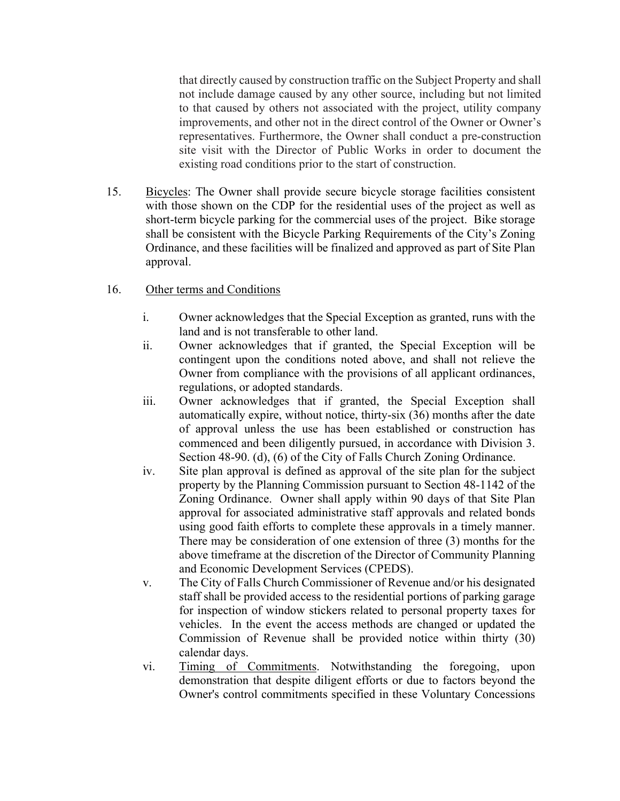that directly caused by construction traffic on the Subject Property and shall not include damage caused by any other source, including but not limited to that caused by others not associated with the project, utility company improvements, and other not in the direct control of the Owner or Owner's representatives. Furthermore, the Owner shall conduct a pre-construction site visit with the Director of Public Works in order to document the existing road conditions prior to the start of construction.

15. Bicycles: The Owner shall provide secure bicycle storage facilities consistent with those shown on the CDP for the residential uses of the project as well as short-term bicycle parking for the commercial uses of the project. Bike storage shall be consistent with the Bicycle Parking Requirements of the City's Zoning Ordinance, and these facilities will be finalized and approved as part of Site Plan approval.

## 16. Other terms and Conditions

- i. Owner acknowledges that the Special Exception as granted, runs with the land and is not transferable to other land.
- ii. Owner acknowledges that if granted, the Special Exception will be contingent upon the conditions noted above, and shall not relieve the Owner from compliance with the provisions of all applicant ordinances, regulations, or adopted standards.
- iii. Owner acknowledges that if granted, the Special Exception shall automatically expire, without notice, thirty-six (36) months after the date of approval unless the use has been established or construction has commenced and been diligently pursued, in accordance with Division 3. Section 48-90. (d), (6) of the City of Falls Church Zoning Ordinance.
- iv. Site plan approval is defined as approval of the site plan for the subject property by the Planning Commission pursuant to Section 48-1142 of the Zoning Ordinance. Owner shall apply within 90 days of that Site Plan approval for associated administrative staff approvals and related bonds using good faith efforts to complete these approvals in a timely manner. There may be consideration of one extension of three (3) months for the above timeframe at the discretion of the Director of Community Planning and Economic Development Services (CPEDS).
- v. The City of Falls Church Commissioner of Revenue and/or his designated staff shall be provided access to the residential portions of parking garage for inspection of window stickers related to personal property taxes for vehicles. In the event the access methods are changed or updated the Commission of Revenue shall be provided notice within thirty (30) calendar days.
- vi. Timing of Commitments. Notwithstanding the foregoing, upon demonstration that despite diligent efforts or due to factors beyond the Owner's control commitments specified in these Voluntary Concessions